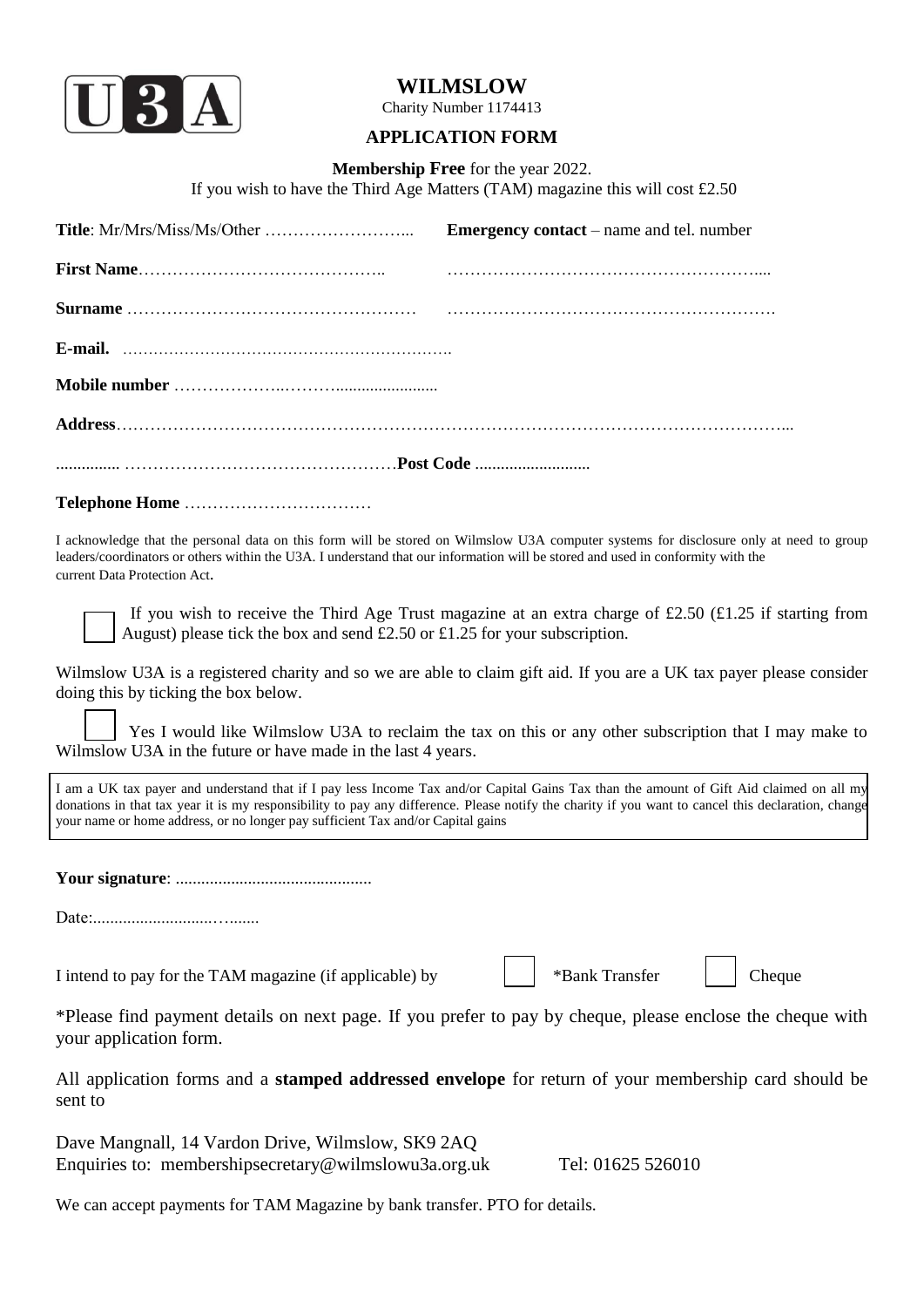

## **WILMSLOW**

Charity Number 1174413

## **APPLICATION FORM**

**Membership Free** for the year 2022.

If you wish to have the Third Age Matters (TAM) magazine this will cost £2.50

|                                                                                                                                                                 | <b>Emergency contact</b> – name and tel. number                                                                                                                                                                                                                                               |
|-----------------------------------------------------------------------------------------------------------------------------------------------------------------|-----------------------------------------------------------------------------------------------------------------------------------------------------------------------------------------------------------------------------------------------------------------------------------------------|
|                                                                                                                                                                 |                                                                                                                                                                                                                                                                                               |
|                                                                                                                                                                 |                                                                                                                                                                                                                                                                                               |
|                                                                                                                                                                 |                                                                                                                                                                                                                                                                                               |
|                                                                                                                                                                 |                                                                                                                                                                                                                                                                                               |
|                                                                                                                                                                 |                                                                                                                                                                                                                                                                                               |
|                                                                                                                                                                 |                                                                                                                                                                                                                                                                                               |
|                                                                                                                                                                 |                                                                                                                                                                                                                                                                                               |
| leaders/coordinators or others within the U3A. I understand that our information will be stored and used in conformity with the<br>current Data Protection Act. | I acknowledge that the personal data on this form will be stored on Wilmslow U3A computer systems for disclosure only at need to group                                                                                                                                                        |
| August) please tick the box and send £2.50 or £1.25 for your subscription.                                                                                      | If you wish to receive the Third Age Trust magazine at an extra charge of £2.50 (£1.25 if starting from                                                                                                                                                                                       |
| doing this by ticking the box below.                                                                                                                            | Wilmslow U3A is a registered charity and so we are able to claim gift aid. If you are a UK tax payer please consider<br>Yes I would like Wilmslow U3A to reclaim the tax on this or any other subscription that I may make to                                                                 |
| Wilmslow U3A in the future or have made in the last 4 years.                                                                                                    |                                                                                                                                                                                                                                                                                               |
| your name or home address, or no longer pay sufficient Tax and/or Capital gains                                                                                 | I am a UK tax payer and understand that if I pay less Income Tax and/or Capital Gains Tax than the amount of Gift Aid claimed on all my<br>donations in that tax year it is my responsibility to pay any difference. Please notify the charity if you want to cancel this declaration, change |
|                                                                                                                                                                 |                                                                                                                                                                                                                                                                                               |
| Date:                                                                                                                                                           |                                                                                                                                                                                                                                                                                               |
| I intend to pay for the TAM magazine (if applicable) by                                                                                                         | *Bank Transfer<br>Cheque                                                                                                                                                                                                                                                                      |
| your application form.                                                                                                                                          | *Please find payment details on next page. If you prefer to pay by cheque, please enclose the cheque with                                                                                                                                                                                     |
| sent to                                                                                                                                                         | All application forms and a <b>stamped addressed envelope</b> for return of your membership card should be                                                                                                                                                                                    |
| Dave Mangnall, 14 Vardon Drive, Wilmslow, SK9 2AQ<br>Enquiries to: membershipsecretary@wilmslowu3a.org.uk                                                       | Tel: 01625 526010                                                                                                                                                                                                                                                                             |

We can accept payments for TAM Magazine by bank transfer. PTO for details.